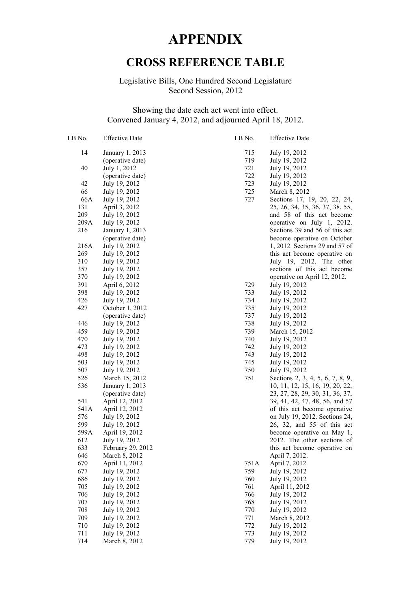## **APPENDIX**

## **CROSS REFERENCE TABLE**

## Legislative Bills, One Hundred Second Legislature Second Session, 2012

## Showing the date each act went into effect. Convened January 4, 2012, and adjourned April 18, 2012.

| LB No. | <b>Effective Date</b> | LB No. | <b>Effective Date</b>            |
|--------|-----------------------|--------|----------------------------------|
| 14     | January 1, 2013       | 715    | July 19, 2012                    |
|        | (operative date)      | 719    | July 19, 2012                    |
| 40     | July 1, 2012          | 721    | July 19, 2012                    |
|        | (operative date)      | 722    | July 19, 2012                    |
| 42     | July 19, 2012         | 723    | July 19, 2012                    |
| 66     | July 19, 2012         | 725    | March 8, 2012                    |
| 66A    | July 19, 2012         | 727    | Sections 17, 19, 20, 22, 24,     |
| 131    | April 3, 2012         |        | 25, 26, 34, 35, 36, 37, 38, 55,  |
| 209    | July 19, 2012         |        | and 58 of this act become        |
| 209A   | July 19, 2012         |        | operative on July 1, 2012.       |
| 216    | January 1, 2013       |        | Sections 39 and 56 of this act   |
|        | (operative date)      |        | become operative on October      |
| 216A   | July 19, 2012         |        | 1, 2012. Sections 29 and 57 of   |
| 269    | July 19, 2012         |        | this act become operative on     |
| 310    | July 19, 2012         |        | July 19, 2012. The other         |
| 357    | July 19, 2012         |        | sections of this act become      |
| 370    | July 19, 2012         |        | operative on April 12, 2012.     |
| 391    | April 6, 2012         | 729    | July 19, 2012                    |
| 398    | July 19, 2012         | 733    | July 19, 2012                    |
| 426    | July 19, 2012         | 734    | July 19, 2012                    |
| 427    | October 1, 2012       | 735    | July 19, 2012                    |
|        | (operative date)      | 737    | July 19, 2012                    |
| 446    | July 19, 2012         | 738    | July 19, 2012                    |
| 459    | July 19, 2012         | 739    | March 15, 2012                   |
| 470    | July 19, 2012         | 740    | July 19, 2012                    |
| 473    | July 19, 2012         | 742    | July 19, 2012                    |
| 498    | July 19, 2012         | 743    | July 19, 2012                    |
| 503    | July 19, 2012         | 745    | July 19, 2012                    |
| 507    | July 19, 2012         | 750    | July 19, 2012                    |
| 526    | March 15, 2012        | 751    | Sections 2, 3, 4, 5, 6, 7, 8, 9, |
| 536    | January 1, 2013       |        | 10, 11, 12, 15, 16, 19, 20, 22,  |
|        | (operative date)      |        | 23, 27, 28, 29, 30, 31, 36, 37,  |
| 541    | April 12, 2012        |        | 39, 41, 42, 47, 48, 56, and 57   |
| 541A   | April 12, 2012        |        | of this act become operative     |
| 576    | July 19, 2012         |        | on July 19, 2012. Sections 24,   |
| 599    | July 19, 2012         |        | 26, 32, and 55 of this act       |
| 599A   | April 19, 2012        |        | become operative on May 1.       |
| 612    | July 19, 2012         |        | 2012. The other sections of      |
| 633    | February 29, 2012     |        | this act become operative on     |
| 646    | March 8, 2012         |        | April 7, 2012.                   |
| 670    | April 11, 2012        | 751A   | April 7, 2012                    |
| 677    | July 19, 2012         | 759    | July 19, 2012                    |
| 686    | July 19, 2012         | 760    | July 19, 2012                    |
| 705    | July 19, 2012         | 761    | April 11, 2012                   |
| 706    | July 19, 2012         | 766    | July 19, 2012                    |
| 707    | July 19, 2012         | 768    | July 19, 2012                    |
| 708    | July 19, 2012         | 770    | July 19, 2012                    |
| 709    | July 19, 2012         | 771    | March 8, 2012                    |
| 710    | July 19, 2012         | 772    | July 19, 2012                    |
| 711    | July 19, 2012         | 773    | July 19, 2012                    |
| 714    | March 8, 2012         | 779    | July 19, 2012                    |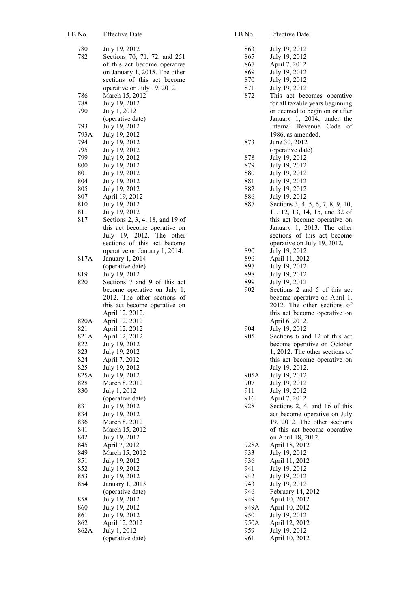| LB No.      | <b>Effective Date</b>                                                                                                                                                        |
|-------------|------------------------------------------------------------------------------------------------------------------------------------------------------------------------------|
| 780<br>782  | July 19, 2012<br>Sections 70, 71, 72, and 251<br>of this act become operative<br>on January 1, 2015. The other<br>sections of this act become<br>operative on July 19, 2012. |
| 786         | March 15, 2012                                                                                                                                                               |
| 788         | July 19, 2012                                                                                                                                                                |
| 790         | July 1, 2012                                                                                                                                                                 |
| 793         | (operative date)<br>July 19, 2012                                                                                                                                            |
| 793A        | July 19, 2012                                                                                                                                                                |
| 794         | July 19, 2012                                                                                                                                                                |
| 795         | July 19, 2012                                                                                                                                                                |
| 799         | July 19, 2012                                                                                                                                                                |
| 800         | July 19, 2012                                                                                                                                                                |
| 801         | July 19, 2012                                                                                                                                                                |
| 804<br>805  | July 19, 2012<br>July 19, 2012                                                                                                                                               |
| 807         | April 19, 2012                                                                                                                                                               |
| 810         | July 19, 2012                                                                                                                                                                |
| 811         | July 19, 2012                                                                                                                                                                |
| 817         | Sections 2, 3, 4, 18, and 19 of                                                                                                                                              |
|             | this act become operative on<br>July 19, 2012. The other<br>sections of this act become                                                                                      |
|             | operative on January 1, 2014.                                                                                                                                                |
| 817A        | January 1, 2014<br>(operative date)                                                                                                                                          |
| 819         | July 19, 2012                                                                                                                                                                |
| 820         | Sections 7 and 9 of this act                                                                                                                                                 |
|             | become operative on July 1,<br>2012. The other sections of<br>this act become operative on<br>April 12, 2012.                                                                |
| 820A        | April 12, 2012                                                                                                                                                               |
| 821         | April 12, 2012                                                                                                                                                               |
| 821A<br>822 | April 12, 2012<br>July 19, 2012                                                                                                                                              |
| 823         | July 19, 2012                                                                                                                                                                |
| 824         | April 7, 2012                                                                                                                                                                |
| 825         | July 19, 2012                                                                                                                                                                |
| 825A        | July 19, 2012                                                                                                                                                                |
| 828         | March 8, 2012                                                                                                                                                                |
| 830         | July 1, 2012<br>(operative date)                                                                                                                                             |
| 831         | July 19, 2012                                                                                                                                                                |
| 834         | July 19, 2012                                                                                                                                                                |
| 836         | March 8, 2012                                                                                                                                                                |
| 841         | March 15, 2012                                                                                                                                                               |
| 842         | July 19, 2012                                                                                                                                                                |
| 845<br>849  | April 7, 2012<br>March 15, 2012                                                                                                                                              |
| 851         | July 19, 2012                                                                                                                                                                |
| 852         | July 19, 2012                                                                                                                                                                |
| 853         | July 19, 2012                                                                                                                                                                |
| 854         | January 1, 2013                                                                                                                                                              |
|             | (operative date)                                                                                                                                                             |
| 858         | July 19, 2012                                                                                                                                                                |
| 860<br>861  | July 19, 2012<br>July 19, 2012                                                                                                                                               |
| 862         | April 12, 2012                                                                                                                                                               |
| 862A        | July 1, 2012                                                                                                                                                                 |
|             | (operative date)                                                                                                                                                             |

| LB No.     | <b>Effective Date</b>                                         |
|------------|---------------------------------------------------------------|
| 863        | July 19, 2012                                                 |
| 865        | July 19, 2012                                                 |
| 867        | April 7, 2012                                                 |
| 869        | July 19, 2012                                                 |
| 870        |                                                               |
|            | July 19, 2012<br>July 19, 2012                                |
| 871        |                                                               |
| 872        | This act becomes operative                                    |
|            | for all taxable years beginning                               |
|            | or deemed to begin on or after                                |
|            | January 1, 2014, under the                                    |
|            | Internal Revenue Code of                                      |
|            | 1986, as amended.                                             |
| 873        | June 30, 2012                                                 |
|            | (operative date)                                              |
| 878        | July 19, 2012                                                 |
| 879        | July 19, 2012                                                 |
| 880        | July 19, 2012                                                 |
| 881        | July 19, 2012                                                 |
| 882        | July 19, 2012                                                 |
| 886        | July 19, 2012                                                 |
| 887        | Sections 3, 4, 5, 6, 7, 8, 9, 10,                             |
|            | 11, 12, 13, 14, 15, and 32 of                                 |
|            | this act become operative on                                  |
|            | January 1, 2013. The other                                    |
|            | sections of this act become                                   |
|            | operative on July 19, 2012.                                   |
| 890        | July 19, 2012                                                 |
| 896        | April 11, 2012                                                |
| 897        | July 19, 2012                                                 |
| 898        | July 19, 2012                                                 |
| 899        | July 19, 2012                                                 |
| 902        | Sections 2 and 5 of this act                                  |
|            | become operative on April 1,                                  |
|            | 2012. The other sections of                                   |
|            | this act become operative on                                  |
|            | April 6, 2012.                                                |
| 904<br>905 | July 19, 2012                                                 |
|            | Sections 6 and 12 of this act                                 |
|            | become operative on October<br>1, 2012. The other sections of |
|            | this act become operative on                                  |
|            | July 19, 2012.                                                |
| 905A       | July 19, 2012                                                 |
| 907        | July 19, 2012                                                 |
| 911        | July 19, 2012                                                 |
| 916        | April 7, 2012                                                 |
| 928        | Sections 2, 4, and 16 of this                                 |
|            | act become operative on July                                  |
|            | 19, 2012. The other sections                                  |
|            | of this act become operative                                  |
|            | on April 18, 2012.                                            |
| 928A       | April 18, 2012                                                |
| 933        | July 19, 2012                                                 |
| 936        | April 11, 2012                                                |
| 941        | July 19, 2012                                                 |
| 942        | July 19, 2012                                                 |
| 943        | July 19, 2012                                                 |
| 946        | February 14, 2012                                             |
| 949        | April 10, 2012                                                |
| 949A       | April 10, 2012                                                |
| 950        | July 19, 2012                                                 |
| 950A       | April 12, 2012                                                |
| 959        | July 19, 2012                                                 |
| 961        | April 10, 2012                                                |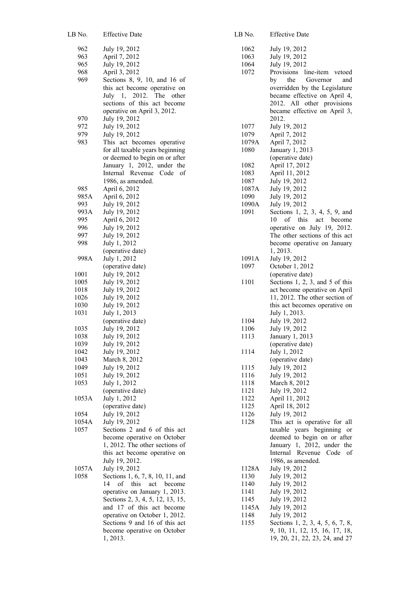| LB No.        | <b>Effective Date</b>                                         |
|---------------|---------------------------------------------------------------|
| 962           | July 19, 2012                                                 |
| 963           | April 7, 2012                                                 |
| 965           | July 19, 2012                                                 |
| 968           | April 3, 2012                                                 |
| 969           | Sections 8, 9, 10, and 16 of                                  |
|               | this act become operative on                                  |
|               | 2012. The<br>July 1,<br>other                                 |
|               | sections of this act become<br>operative on April 3, 2012.    |
| 970           | July 19, 2012                                                 |
| 972           | July 19, 2012                                                 |
| 979           | July 19, 2012                                                 |
| 983           | This act becomes operative                                    |
|               | for all taxable years beginning                               |
|               | or deemed to begin on or after                                |
|               | January 1, 2012, under the                                    |
|               | Internal Revenue<br>Code<br>оf                                |
|               | 1986, as amended.                                             |
| 985           | April 6, 2012                                                 |
| 985A          | April 6, 2012                                                 |
| 993<br>993A   | July 19, 2012<br>July 19, 2012                                |
| 995           | April 6, 2012                                                 |
| 996           | July 19, 2012                                                 |
| 997           | July 19, 2012                                                 |
| 998           | July 1, 2012                                                  |
|               | (operative date)                                              |
| 998A          | July 1, 2012                                                  |
|               | (operative date)                                              |
| 1001          | July 19, 2012                                                 |
| 1005<br>1018  | July 19, 2012<br>July 19, 2012                                |
| 1026          | July 19, 2012                                                 |
| 1030          | July 19, 2012                                                 |
| 1031          | July 1, 2013                                                  |
|               | (operative date)                                              |
| 1035          | July 19, 2012                                                 |
| 1038          | July 19, 2012                                                 |
| 1039<br>1042  | July 19, 2012<br>July 19, 2012                                |
| 1043          | March 8, 2012                                                 |
| 1049          | July 19, 2012                                                 |
| 1051          | July 19, 2012                                                 |
| 1053          | July 1, 2012                                                  |
|               | (operative date)                                              |
| 1053A         | July 1, 2012                                                  |
|               | (operative date)                                              |
| 1054          | July 19, 2012                                                 |
| 1054A<br>1057 | July 19, 2012<br>Sections 2 and 6 of this act                 |
|               | become operative on October                                   |
|               | 1, 2012. The other sections of                                |
|               | this act become operative on                                  |
|               | July 19, 2012.                                                |
| 1057A         | July 19, 2012                                                 |
| 1058          | Sections 1, 6, 7, 8, 10, 11, and                              |
|               | of this act become<br>14                                      |
|               | operative on January 1, 2013.                                 |
|               | Sections 2, 3, 4, 5, 12, 13, 15,<br>and 17 of this act become |
|               | operative on October 1, 2012.                                 |
|               | Sections 9 and 16 of this act                                 |
|               | become operative on October                                   |
|               | 1, 2013.                                                      |

| LB No.       | <b>Effective Date</b>            |
|--------------|----------------------------------|
| 1062         | July 19, 2012                    |
| 1063         | July 19, 2012                    |
| 1064         | July 19, 2012                    |
| 1072         | Provisions<br>line-item vetoed   |
|              | the<br>Governor<br>by<br>and     |
|              | overridden by the Legislature    |
|              | became effective on April 4,     |
|              | 2012. All other provisions       |
|              | became effective on April 3,     |
|              | 2012.                            |
| 1077         | July 19, 2012                    |
| 1079         | April 7, 2012                    |
| 1079A        | April 7, 2012                    |
| 1080         | January 1, 2013                  |
|              | (operative date)                 |
| 1082         | April 17, 2012                   |
| 1083         | April 11, 2012                   |
| 1087         | July 19, 2012                    |
| 1087A        | July 19, 2012                    |
| 1090         | July 19, 2012                    |
| 1090A        | July 19, 2012                    |
| 1091         | Sections 1, 2, 3, 4, 5, 9, and   |
|              | 10<br>of this<br>act become      |
|              | operative on July 19, 2012.      |
|              | The other sections of this act   |
|              | become operative on January      |
|              | 1, 2013.                         |
| 1091A        | July 19, 2012                    |
| 1097         | October 1, 2012                  |
|              | (operative date)                 |
| 1101         | Sections 1, 2, 3, and 5 of this  |
|              | act become operative on April    |
|              | 11, 2012. The other section of   |
|              | this act becomes operative on    |
|              | July 1, 2013.                    |
| 1104         | July 19, 2012                    |
| 1106         | July 19, 2012                    |
| 1113         | January 1, 2013                  |
|              | (operative date)                 |
| 1114         | July 1, 2012<br>(operative date) |
|              | July 19, 2012                    |
| 1115<br>1116 | July 19, 2012                    |
| 1118         | March 8, 2012                    |
| 1121         | July 19, 2012                    |
| 1122         | April 11, 2012                   |
| 1125         | April 18, 2012                   |
| 1126         | July 19, 2012                    |
| 1128         | This act is operative for all    |
|              | taxable years beginning<br>or    |
|              | deemed to begin on or after      |
|              | January 1, 2012,<br>under<br>the |
|              | Internal<br>Revenue Code<br>of   |
|              | 1986, as amended.                |
| 1128A        | July 19, 2012                    |
| 1130         | July 19, 2012                    |
| 1140         | July 19, 2012                    |
| 1141         | July 19, 2012                    |
| 1145         | July 19, 2012                    |
| 1145A        | July 19, 2012                    |
| 1148         | July 19, 2012                    |
| 1155         | Sections 1, 2, 3, 4, 5, 6, 7, 8, |
|              | 9, 10, 11, 12, 15, 16, 17, 18,   |
|              | 19, 20, 21, 22, 23, 24, and 27   |
|              |                                  |